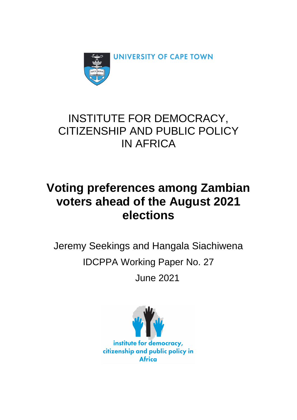

## INSTITUTE FOR DEMOCRACY, CITIZENSHIP AND PUBLIC POLICY IN AFRICA

# **Voting preferences among Zambian voters ahead of the August 2021 elections**

Jeremy Seekings and Hangala Siachiwena IDCPPA Working Paper No. 27 June 2021

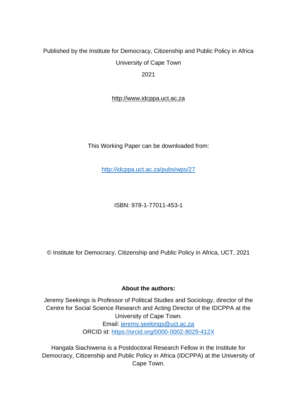### Published by the Institute for Democracy, Citizenship and Public Policy in Africa University of Cape Town

2021

http://www.idcppa.uct.ac.za

This Working Paper can be downloaded from:

<http://idcppa.uct.ac.za/pubs/wps/27>

ISBN: 978-1-77011-453-1

© Institute for Democracy, Citizenship and Public Policy in Africa, UCT, 2021

#### **About the authors:**

Jeremy Seekings is Professor of Political Studies and Sociology, director of the Centre for Social Science Research and Acting Director of the IDCPPA at the University of Cape Town. Email: [jeremy.seekings@uct.ac.za](mailto:jeremy.seekings@uct.ac.za) ORCID id:<https://orcid.org/0000-0002-8029-412X>

Hangala Siachiwena is a Postdoctoral Research Fellow in the Institute for Democracy, Citizenship and Public Policy in Africa (IDCPPA) at the University of Cape Town.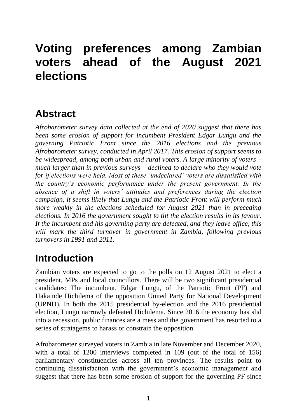# **Voting preferences among Zambian voters ahead of the August 2021 elections**

## **Abstract**

*Afrobarometer survey data collected at the end of 2020 suggest that there has been some erosion of support for incumbent President Edgar Lungu and the governing Patriotic Front since the 2016 elections and the previous Afrobarometer survey, conducted in April 2017. This erosion of support seems to be widespread, among both urban and rural voters. A large minority of voters – much larger than in previous surveys – declined to declare who they would vote for if elections were held. Most of these 'undeclared' voters are dissatisfied with the country's economic performance under the present government. In the absence of a shift in voters' attitudes and preferences during the election campaign, it seems likely that Lungu and the Patriotic Front will perform much more weakly in the elections scheduled for August 2021 than in preceding elections. In 2016 the government sought to tilt the election results in its favour. If the incumbent and his governing party are defeated, and they leave office, this will mark the third turnover in government in Zambia, following previous turnovers in 1991 and 2011.*

## **Introduction**

Zambian voters are expected to go to the polls on 12 August 2021 to elect a president, MPs and local councillors. There will be two significant presidential candidates: The incumbent, Edgar Lungu, of the Patriotic Front (PF) and Hakainde Hichilema of the opposition United Party for National Development (UPND). In both the 2015 presidential by-election and the 2016 presidential election, Lungu narrowly defeated Hichilema. Since 2016 the economy has slid into a recession, public finances are a mess and the government has resorted to a series of stratagems to harass or constrain the opposition.

Afrobarometer surveyed voters in Zambia in late November and December 2020, with a total of 1200 interviews completed in 109 (out of the total of 156) parliamentary constituencies across all ten provinces. The results point to continuing dissatisfaction with the government's economic management and suggest that there has been some erosion of support for the governing PF since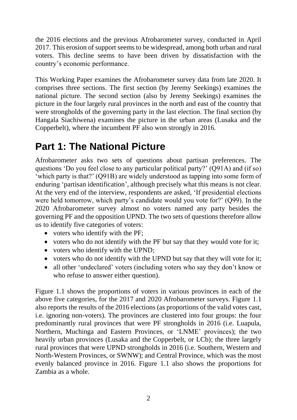the 2016 elections and the previous Afrobarometer survey, conducted in April 2017. This erosion of support seems to be widespread, among both urban and rural voters. This decline seems to have been driven by dissatisfaction with the country's economic performance.

This Working Paper examines the Afrobarometer survey data from late 2020. It comprises three sections. The first section (by Jeremy Seekings) examines the national picture. The second section (also by Jeremy Seekings) examines the picture in the four largely rural provinces in the north and east of the country that were strongholds of the governing party in the last election. The final section (by Hangala Siachiwena) examines the picture in the urban areas (Lusaka and the Copperbelt), where the incumbent PF also won strongly in 2016.

## **Part 1: The National Picture**

Afrobarometer asks two sets of questions about partisan preferences. The questions 'Do you feel close to any particular political party?' (Q91A) and (if so) 'which party is that?' (Q91B) are widely understood as tapping into some form of enduring 'partisan identification', although precisely what this means is not clear. At the very end of the interview, respondents are asked, 'If presidential elections were held tomorrow, which party's candidate would you vote for?' (Q99). In the 2020 Afrobarometer survey almost no voters named any party besides the governing PF and the opposition UPND. The two sets of questions therefore allow us to identify five categories of voters:

- voters who identify with the PF;
- voters who do not identify with the PF but say that they would vote for it;
- voters who identify with the UPND;
- voters who do not identify with the UPND but say that they will vote for it;
- all other 'undeclared' voters (including voters who say they don't know or who refuse to answer either question).

Figure 1.1 shows the proportions of voters in various provinces in each of the above five categories, for the 2017 and 2020 Afrobarometer surveys. Figure 1.1 also reports the results of the 2016 elections (as proportions of the valid votes cast, i.e. ignoring non-voters). The provinces are clustered into four groups: the four predominantly rural provinces that were PF strongholds in 2016 (i.e. Luapula, Northern, Muchinga and Eastern Provinces, or 'LNME' provinces); the two heavily urban provinces (Lusaka and the Copperbelt, or LCb); the three largely rural provinces that were UPND strongholds in 2016 (i.e. Southern, Western and North-Western Provinces, or SWNW); and Central Province, which was the most evenly balanced province in 2016. Figure 1.1 also shows the proportions for Zambia as a whole.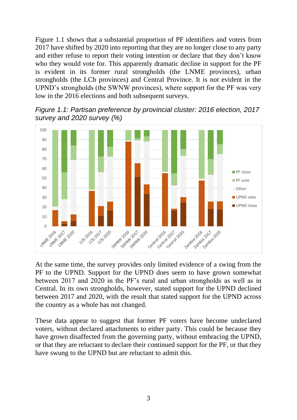Figure 1.1 shows that a substantial proportion of PF identifiers and voters from 2017 have shifted by 2020 into reporting that they are no longer close to any party and either refuse to report their voting intention or declare that they don't know who they would vote for. This apparently dramatic decline in support for the PF is evident in its former rural strongholds (the LNME provinces), urban strongholds (the LCb provinces) and Central Province. It is not evident in the UPND's strongholds (the SWNW provinces), where support for the PF was very low in the 2016 elections and both subsequent surveys.



*Figure 1.1: Partisan preference by provincial cluster: 2016 election, 2017 survey and 2020 survey (%)*

At the same time, the survey provides only limited evidence of a swing from the PF to the UPND. Support for the UPND does seem to have grown somewhat between 2017 and 2020 in the PF's rural and urban strongholds as well as in Central. In its own strongholds, however, stated support for the UPND declined between 2017 and 2020, with the result that stated support for the UPND across the country as a whole has not changed.

These data appear to suggest that former PF voters have become undeclared voters, without declared attachments to either party. This could be because they have grown disaffected from the governing party, without embracing the UPND, or that they are reluctant to declare their continued support for the PF, or that they have swung to the UPND but are reluctant to admit this.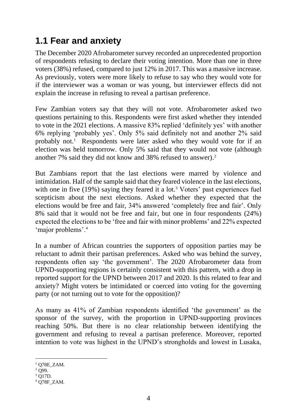### **1.1 Fear and anxiety**

The December 2020 Afrobarometer survey recorded an unprecedented proportion of respondents refusing to declare their voting intention. More than one in three voters (38%) refused, compared to just 12% in 2017. This was a massive increase. As previously, voters were more likely to refuse to say who they would vote for if the interviewer was a woman or was young, but interviewer effects did not explain the increase in refusing to reveal a partisan preference.

Few Zambian voters say that they will not vote. Afrobarometer asked two questions pertaining to this. Respondents were first asked whether they intended to vote in the 2021 elections. A massive 83% replied 'definitely yes' with another 6% replying 'probably yes'. Only 5% said definitely not and another 2% said probably not.<sup>1</sup> Respondents were later asked who they would vote for if an election was held tomorrow. Only 5% said that they would not vote (although another 7% said they did not know and 38% refused to answer). 2

But Zambians report that the last elections were marred by violence and intimidation. Half of the sample said that they feared violence in the last elections, with one in five  $(19\%)$  saying they feared it a lot.<sup>3</sup> Voters' past experiences fuel scepticism about the next elections. Asked whether they expected that the elections would be free and fair, 34% answered 'completely free and fair'. Only 8% said that it would not be free and fair, but one in four respondents (24%) expected the elections to be 'free and fair with minor problems' and 22% expected 'major problems'.<sup>4</sup>

In a number of African countries the supporters of opposition parties may be reluctant to admit their partisan preferences. Asked who was behind the survey, respondents often say 'the government'. The 2020 Afrobarometer data from UPND-supporting regions is certainly consistent with this pattern, with a drop in reported support for the UPND between 2017 and 2020. Is this related to fear and anxiety? Might voters be intimidated or coerced into voting for the governing party (or not turning out to vote for the opposition)?

As many as 41% of Zambian respondents identified 'the government' as the sponsor of the survey, with the proportion in UPND-supporting provinces reaching 50%. But there is no clear relationship between identifying the government and refusing to reveal a partisan preference. Moreover, reported intention to vote was highest in the UPND's strongholds and lowest in Lusaka,

 $1$  O78E ZAM.

 $^{2}$  Q99.

<sup>3</sup> Q17D.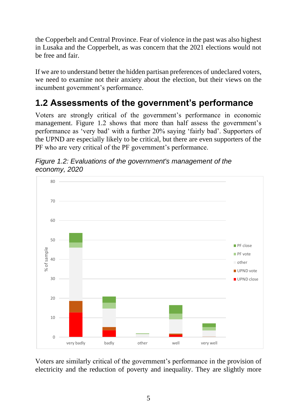the Copperbelt and Central Province. Fear of violence in the past was also highest in Lusaka and the Copperbelt, as was concern that the 2021 elections would not be free and fair.

If we are to understand better the hidden partisan preferences of undeclared voters, we need to examine not their anxiety about the election, but their views on the incumbent government's performance.

## **1.2 Assessments of the government's performance**

Voters are strongly critical of the government's performance in economic management. Figure 1.2 shows that more than half assess the government's performance as 'very bad' with a further 20% saying 'fairly bad'. Supporters of the UPND are especially likely to be critical, but there are even supporters of the PF who are very critical of the PF government's performance.



*Figure 1.2: Evaluations of the government's management of the economy, 2020*

Voters are similarly critical of the government's performance in the provision of electricity and the reduction of poverty and inequality. They are slightly more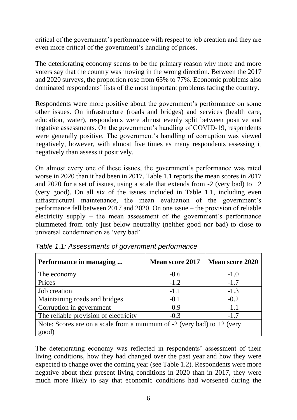critical of the government's performance with respect to job creation and they are even more critical of the government's handling of prices.

The deteriorating economy seems to be the primary reason why more and more voters say that the country was moving in the wrong direction. Between the 2017 and 2020 surveys, the proportion rose from 65% to 77%. Economic problems also dominated respondents' lists of the most important problems facing the country.

Respondents were more positive about the government's performance on some other issues. On infrastructure (roads and bridges) and services (health care, education, water), respondents were almost evenly split between positive and negative assessments. On the government's handling of COVID-19, respondents were generally positive. The government's handling of corruption was viewed negatively, however, with almost five times as many respondents assessing it negatively than assess it positively.

On almost every one of these issues, the government's performance was rated worse in 2020 than it had been in 2017. Table 1.1 reports the mean scores in 2017 and 2020 for a set of issues, using a scale that extends from  $-2$  (very bad) to  $+2$ (very good). On all six of the issues included in Table 1.1, including even infrastructural maintenance, the mean evaluation of the government's performance fell between 2017 and 2020. On one issue – the provision of reliable electricity supply  $-$  the mean assessment of the government's performance plummeted from only just below neutrality (neither good nor bad) to close to universal condemnation as 'very bad'.

| Performance in managing                                                     | <b>Mean score 2017</b> | <b>Mean score 2020</b> |  |  |  |
|-----------------------------------------------------------------------------|------------------------|------------------------|--|--|--|
| The economy                                                                 | $-0.6$                 | $-1.0$                 |  |  |  |
| Prices                                                                      | $-1.2$                 | $-1.7$                 |  |  |  |
| Job creation                                                                | $-1.1$                 | $-1.3$                 |  |  |  |
| Maintaining roads and bridges                                               | $-0.1$                 | $-0.2$                 |  |  |  |
| Corruption in government                                                    | $-0.9$                 | $-1.1$                 |  |  |  |
| The reliable provision of electricity                                       | $-0.3$                 | $-1.7$                 |  |  |  |
| Note: Scores are on a scale from a minimum of $-2$ (very bad) to $+2$ (very |                        |                        |  |  |  |
| good)                                                                       |                        |                        |  |  |  |

*Table 1.1: Assessments of government performance*

The deteriorating economy was reflected in respondents' assessment of their living conditions, how they had changed over the past year and how they were expected to change over the coming year (see Table 1.2). Respondents were more negative about their present living conditions in 2020 than in 2017, they were much more likely to say that economic conditions had worsened during the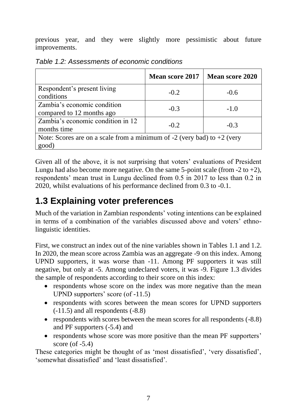previous year, and they were slightly more pessimistic about future improvements.

|                                                                                      | <b>Mean score 2017</b> | <b>Mean score 2020</b> |  |  |
|--------------------------------------------------------------------------------------|------------------------|------------------------|--|--|
| Respondent's present living<br>conditions                                            | $-0.2$                 | $-0.6$                 |  |  |
| Zambia's economic condition<br>compared to 12 months ago                             | $-0.3$                 | $-1.0$                 |  |  |
| Zambia's economic condition in 12<br>months time                                     | $-0.2$                 | $-0.3$                 |  |  |
| Note: Scores are on a scale from a minimum of $-2$ (very bad) to $+2$ (very<br>good) |                        |                        |  |  |

*Table 1.2: Assessments of economic conditions*

Given all of the above, it is not surprising that voters' evaluations of President Lungu had also become more negative. On the same 5-point scale (from  $-2$  to  $+2$ ), respondents' mean trust in Lungu declined from 0.5 in 2017 to less than 0.2 in 2020, whilst evaluations of his performance declined from 0.3 to -0.1.

## **1.3 Explaining voter preferences**

Much of the variation in Zambian respondents' voting intentions can be explained in terms of a combination of the variables discussed above and voters' ethnolinguistic identities.

First, we construct an index out of the nine variables shown in Tables 1.1 and 1.2. In 2020, the mean score across Zambia was an aggregate -9 on this index. Among UPND supporters, it was worse than -11. Among PF supporters it was still negative, but only at -5. Among undeclared voters, it was -9. Figure 1.3 divides the sample of respondents according to their score on this index:

- respondents whose score on the index was more negative than the mean UPND supporters' score (of -11.5)
- respondents with scores between the mean scores for UPND supporters (-11.5) and all respondents (-8.8)
- respondents with scores between the mean scores for all respondents (-8.8) and PF supporters (-5.4) and
- respondents whose score was more positive than the mean PF supporters' score  $($ of  $-5.4)$

These categories might be thought of as 'most dissatisfied', 'very dissatisfied', 'somewhat dissatisfied' and 'least dissatisfied'.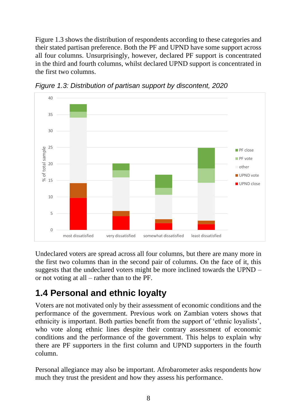Figure 1.3 shows the distribution of respondents according to these categories and their stated partisan preference. Both the PF and UPND have some support across all four columns. Unsurprisingly, however, declared PF support is concentrated in the third and fourth columns, whilst declared UPND support is concentrated in the first two columns.



*Figure 1.3: Distribution of partisan support by discontent, 2020*

Undeclared voters are spread across all four columns, but there are many more in the first two columns than in the second pair of columns. On the face of it, this suggests that the undeclared voters might be more inclined towards the UPND – or not voting at all – rather than to the PF.

### **1.4 Personal and ethnic loyalty**

Voters are not motivated only by their assessment of economic conditions and the performance of the government. Previous work on Zambian voters shows that ethnicity is important. Both parties benefit from the support of 'ethnic loyalists', who vote along ethnic lines despite their contrary assessment of economic conditions and the performance of the government. This helps to explain why there are PF supporters in the first column and UPND supporters in the fourth column.

Personal allegiance may also be important. Afrobarometer asks respondents how much they trust the president and how they assess his performance.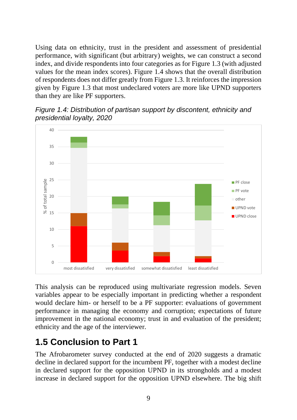Using data on ethnicity, trust in the president and assessment of presidential performance, with significant (but arbitrary) weights, we can construct a second index, and divide respondents into four categories as for Figure 1.3 (with adjusted values for the mean index scores). Figure 1.4 shows that the overall distribution of respondents does not differ greatly from Figure 1.3. It reinforces the impression given by Figure 1.3 that most undeclared voters are more like UPND supporters than they are like PF supporters.



*Figure 1.4: Distribution of partisan support by discontent, ethnicity and presidential loyalty, 2020*

This analysis can be reproduced using multivariate regression models. Seven variables appear to be especially important in predicting whether a respondent would declare him- or herself to be a PF supporter: evaluations of government performance in managing the economy and corruption; expectations of future improvement in the national economy; trust in and evaluation of the president; ethnicity and the age of the interviewer.

### **1.5 Conclusion to Part 1**

The Afrobarometer survey conducted at the end of 2020 suggests a dramatic decline in declared support for the incumbent PF, together with a modest decline in declared support for the opposition UPND in its strongholds and a modest increase in declared support for the opposition UPND elsewhere. The big shift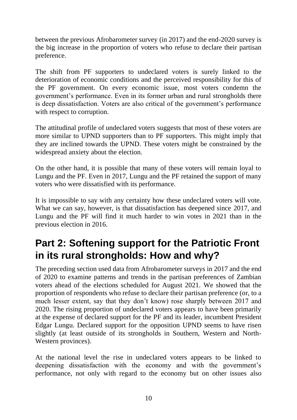between the previous Afrobarometer survey (in 2017) and the end-2020 survey is the big increase in the proportion of voters who refuse to declare their partisan preference.

The shift from PF supporters to undeclared voters is surely linked to the deterioration of economic conditions and the perceived responsibility for this of the PF government. On every economic issue, most voters condemn the government's performance. Even in its former urban and rural strongholds there is deep dissatisfaction. Voters are also critical of the government's performance with respect to corruption.

The attitudinal profile of undeclared voters suggests that most of these voters are more similar to UPND supporters than to PF supporters. This might imply that they are inclined towards the UPND. These voters might be constrained by the widespread anxiety about the election.

On the other hand, it is possible that many of these voters will remain loyal to Lungu and the PF. Even in 2017, Lungu and the PF retained the support of many voters who were dissatisfied with its performance.

It is impossible to say with any certainty how these undeclared voters will vote. What we can say, however, is that dissatisfaction has deepened since 2017, and Lungu and the PF will find it much harder to win votes in 2021 than in the previous election in 2016.

## **Part 2: Softening support for the Patriotic Front in its rural strongholds: How and why?**

The preceding section used data from Afrobarometer surveys in 2017 and the end of 2020 to examine patterns and trends in the partisan preferences of Zambian voters ahead of the elections scheduled for August 2021. We showed that the proportion of respondents who refuse to declare their partisan preference (or, to a much lesser extent, say that they don't know) rose sharply between 2017 and 2020. The rising proportion of undeclared voters appears to have been primarily at the expense of declared support for the PF and its leader, incumbent President Edgar Lungu. Declared support for the opposition UPND seems to have risen slightly (at least outside of its strongholds in Southern, Western and North-Western provinces).

At the national level the rise in undeclared voters appears to be linked to deepening dissatisfaction with the economy and with the government's performance, not only with regard to the economy but on other issues also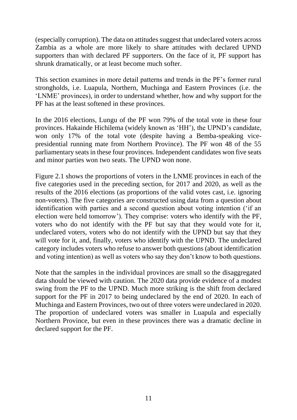(especially corruption). The data on attitudes suggest that undeclared voters across Zambia as a whole are more likely to share attitudes with declared UPND supporters than with declared PF supporters. On the face of it, PF support has shrunk dramatically, or at least become much softer.

This section examines in more detail patterns and trends in the PF's former rural strongholds, i.e. Luapula, Northern, Muchinga and Eastern Provinces (i.e. the 'LNME' provinces), in order to understand whether, how and why support for the PF has at the least softened in these provinces.

In the 2016 elections, Lungu of the PF won 79% of the total vote in these four provinces. Hakainde Hichilema (widely known as 'HH'), the UPND's candidate, won only 17% of the total vote (despite having a Bemba-speaking vicepresidential running mate from Northern Province). The PF won 48 of the 55 parliamentary seats in these four provinces. Independent candidates won five seats and minor parties won two seats. The UPND won none.

Figure 2.1 shows the proportions of voters in the LNME provinces in each of the five categories used in the preceding section, for 2017 and 2020, as well as the results of the 2016 elections (as proportions of the valid votes cast, i.e. ignoring non-voters). The five categories are constructed using data from a question about identification with parties and a second question about voting intention ('if an election were held tomorrow'). They comprise: voters who identify with the PF, voters who do not identify with the PF but say that they would vote for it, undeclared voters, voters who do not identify with the UPND but say that they will vote for it, and, finally, voters who identify with the UPND. The undeclared category includes voters who refuse to answer both questions (about identification and voting intention) as well as voters who say they don't know to both questions.

Note that the samples in the individual provinces are small so the disaggregated data should be viewed with caution. The 2020 data provide evidence of a modest swing from the PF to the UPND. Much more striking is the shift from declared support for the PF in 2017 to being undeclared by the end of 2020. In each of Muchinga and Eastern Provinces, two out of three voters were undeclared in 2020. The proportion of undeclared voters was smaller in Luapula and especially Northern Province, but even in these provinces there was a dramatic decline in declared support for the PF.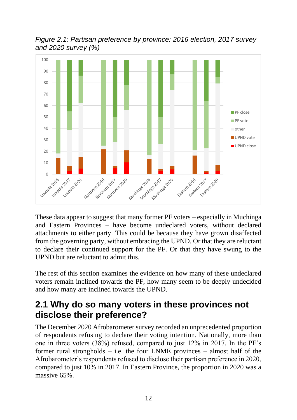

*Figure 2.1: Partisan preference by province: 2016 election, 2017 survey and 2020 survey (%)*

These data appear to suggest that many former PF voters – especially in Muchinga and Eastern Provinces – have become undeclared voters, without declared attachments to either party. This could be because they have grown disaffected from the governing party, without embracing the UPND. Or that they are reluctant to declare their continued support for the PF. Or that they have swung to the UPND but are reluctant to admit this.

The rest of this section examines the evidence on how many of these undeclared voters remain inclined towards the PF, how many seem to be deeply undecided and how many are inclined towards the UPND.

#### **2.1 Why do so many voters in these provinces not disclose their preference?**

The December 2020 Afrobarometer survey recorded an unprecedented proportion of respondents refusing to declare their voting intention. Nationally, more than one in three voters (38%) refused, compared to just 12% in 2017. In the PF's former rural strongholds  $-$  i.e. the four LNME provinces  $-$  almost half of the Afrobarometer's respondents refused to disclose their partisan preference in 2020, compared to just 10% in 2017. In Eastern Province, the proportion in 2020 was a massive 65%.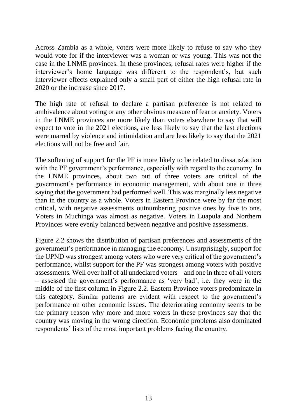Across Zambia as a whole, voters were more likely to refuse to say who they would vote for if the interviewer was a woman or was young. This was not the case in the LNME provinces. In these provinces, refusal rates were higher if the interviewer's home language was different to the respondent's, but such interviewer effects explained only a small part of either the high refusal rate in 2020 or the increase since 2017.

The high rate of refusal to declare a partisan preference is not related to ambivalence about voting or any other obvious measure of fear or anxiety. Voters in the LNME provinces are more likely than voters elsewhere to say that will expect to vote in the 2021 elections, are less likely to say that the last elections were marred by violence and intimidation and are less likely to say that the 2021 elections will not be free and fair.

The softening of support for the PF is more likely to be related to dissatisfaction with the PF government's performance, especially with regard to the economy. In the LNME provinces, about two out of three voters are critical of the government's performance in economic management, with about one in three saying that the government had performed well. This was marginally less negative than in the country as a whole. Voters in Eastern Province were by far the most critical, with negative assessments outnumbering positive ones by five to one. Voters in Muchinga was almost as negative. Voters in Luapula and Northern Provinces were evenly balanced between negative and positive assessments.

Figure 2.2 shows the distribution of partisan preferences and assessments of the government's performance in managing the economy. Unsurprisingly, support for the UPND was strongest among voters who were very critical of the government's performance, whilst support for the PF was strongest among voters with positive assessments. Well over half of all undeclared voters – and one in three of all voters – assessed the government's performance as 'very bad', i.e. they were in the middle of the first column in Figure 2.2. Eastern Province voters predominate in this category. Similar patterns are evident with respect to the government's performance on other economic issues. The deteriorating economy seems to be the primary reason why more and more voters in these provinces say that the country was moving in the wrong direction. Economic problems also dominated respondents' lists of the most important problems facing the country.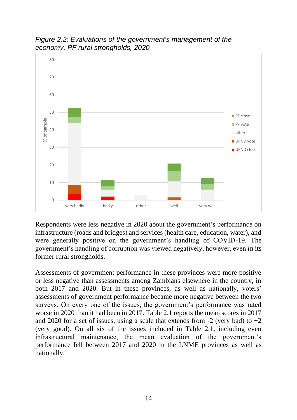

*Figure 2.2: Evaluations of the government's management of the economy, PF rural strongholds, 2020*

Respondents were less negative in 2020 about the government's performance on infrastructure (roads and bridges) and services (health care, education, water), and were generally positive on the government's handling of COVID-19. The government's handling of corruption was viewed negatively, however, even in its former rural strongholds.

Assessments of government performance in these provinces were more positive or less negative than assessments among Zambians elsewhere in the country, in both 2017 and 2020. But in these provinces, as well as nationally, voters' assessments of government performance became more negative between the two surveys. On every one of the issues, the government's performance was rated worse in 2020 than it had been in 2017. Table 2.1 reports the mean scores in 2017 and 2020 for a set of issues, using a scale that extends from  $-2$  (very bad) to  $+2$ (very good). On all six of the issues included in Table 2.1, including even infrastructural maintenance, the mean evaluation of the government's performance fell between 2017 and 2020 in the LNME provinces as well as nationally.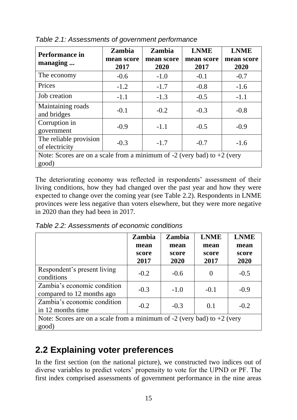| Performance in<br>managing                                                           | Zambia<br>mean score<br>2017 | <b>Zambia</b><br>mean score<br>2020 | <b>LNME</b><br>mean score<br>2017 | <b>LNME</b><br>mean score<br>2020 |  |
|--------------------------------------------------------------------------------------|------------------------------|-------------------------------------|-----------------------------------|-----------------------------------|--|
| The economy                                                                          | $-0.6$                       | $-1.0$                              | $-0.1$                            | $-0.7$                            |  |
| Prices                                                                               | $-1.2$                       | $-1.7$                              | $-0.8$                            | $-1.6$                            |  |
| Job creation                                                                         | $-1.1$                       | $-1.3$                              | $-0.5$                            | $-1.1$                            |  |
| Maintaining roads<br>and bridges                                                     | $-0.1$                       | $-0.2$                              | $-0.3$                            | $-0.8$                            |  |
| Corruption in<br>government                                                          | $-0.9$                       | $-1.1$                              | $-0.5$                            | $-0.9$                            |  |
| The reliable provision<br>of electricity                                             | $-0.3$                       | $-1.7$                              | $-0.7$                            | $-1.6$                            |  |
| Note: Scores are on a scale from a minimum of $-2$ (very bad) to $+2$ (very<br>good) |                              |                                     |                                   |                                   |  |

*Table 2.1: Assessments of government performance*

The deteriorating economy was reflected in respondents' assessment of their living conditions, how they had changed over the past year and how they were expected to change over the coming year (see Table 2.2). Respondents in LNME provinces were less negative than voters elsewhere, but they were more negative in 2020 than they had been in 2017.

*Table 2.2: Assessments of economic conditions*

|                                                                                      | <b>Zambia</b> | <b>Zambia</b> | <b>LNME</b> | <b>LNME</b> |
|--------------------------------------------------------------------------------------|---------------|---------------|-------------|-------------|
|                                                                                      | mean          | mean          | mean        | mean        |
|                                                                                      | score         | score         | score       | score       |
|                                                                                      | 2017          | 2020          | 2017        | 2020        |
| Respondent's present living<br>conditions                                            | $-0.2$        | $-0.6$        | 0           | $-0.5$      |
| Zambia's economic condition<br>compared to 12 months ago                             | $-0.3$        | $-1.0$        | $-0.1$      | $-0.9$      |
| Zambia's economic condition<br>in 12 months time                                     | $-0.2$        | $-0.3$        | 0.1         | $-0.2$      |
| Note: Scores are on a scale from a minimum of $-2$ (very bad) to $+2$ (very<br>good) |               |               |             |             |

### **2.2 Explaining voter preferences**

In the first section (on the national picture), we constructed two indices out of diverse variables to predict voters' propensity to vote for the UPND or PF. The first index comprised assessments of government performance in the nine areas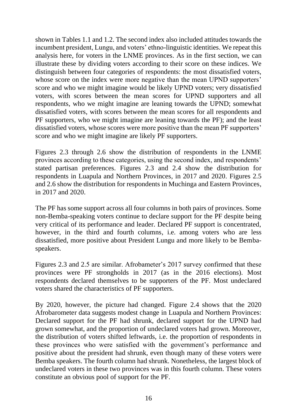shown in Tables 1.1 and 1.2. The second index also included attitudes towards the incumbent president, Lungu, and voters' ethno-linguistic identities. We repeat this analysis here, for voters in the LNME provinces. As in the first section, we can illustrate these by dividing voters according to their score on these indices. We distinguish between four categories of respondents: the most dissatisfied voters, whose score on the index were more negative than the mean UPND supporters' score and who we might imagine would be likely UPND voters; very dissatisfied voters, with scores between the mean scores for UPND supporters and all respondents, who we might imagine are leaning towards the UPND; somewhat dissatisfied voters, with scores between the mean scores for all respondents and PF supporters, who we might imagine are leaning towards the PF); and the least dissatisfied voters, whose scores were more positive than the mean PF supporters' score and who we might imagine are likely PF supporters.

Figures 2.3 through 2.6 show the distribution of respondents in the LNME provinces according to these categories, using the second index, and respondents' stated partisan preferences. Figures 2.3 and 2.4 show the distribution for respondents in Luapula and Northern Provinces, in 2017 and 2020. Figures 2.5 and 2.6 show the distribution for respondents in Muchinga and Eastern Provinces, in 2017 and 2020.

The PF has some support across all four columns in both pairs of provinces. Some non-Bemba-speaking voters continue to declare support for the PF despite being very critical of its performance and leader. Declared PF support is concentrated, however, in the third and fourth columns, i.e. among voters who are less dissatisfied, more positive about President Lungu and more likely to be Bembaspeakers.

Figures 2.3 and 2.5 are similar. Afrobameter's 2017 survey confirmed that these provinces were PF strongholds in 2017 (as in the 2016 elections). Most respondents declared themselves to be supporters of the PF. Most undeclared voters shared the characteristics of PF supporters.

By 2020, however, the picture had changed. Figure 2.4 shows that the 2020 Afrobarometer data suggests modest change in Luapula and Northern Provinces: Declared support for the PF had shrunk, declared support for the UPND had grown somewhat, and the proportion of undeclared voters had grown. Moreover, the distribution of voters shifted leftwards, i.e. the proportion of respondents in these provinces who were satisfied with the government's performance and positive about the president had shrunk, even though many of these voters were Bemba speakers. The fourth column had shrunk. Nonetheless, the largest block of undeclared voters in these two provinces was in this fourth column. These voters constitute an obvious pool of support for the PF.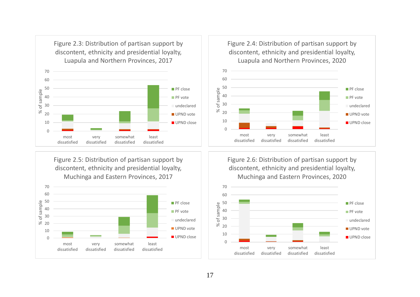

Figure 2.5: Distribution of partisan support by discontent, ethnicity and presidential loyalty, Muchinga and Eastern Provinces, 2017





Figure 2.6: Distribution of partisan support by discontent, ethnicity and presidential loyalty, Muchinga and Eastern Provinces, 2020

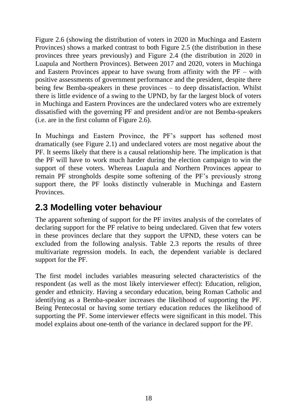Figure 2.6 (showing the distribution of voters in 2020 in Muchinga and Eastern Provinces) shows a marked contrast to both Figure 2.5 (the distribution in these provinces three years previously) and Figure 2.4 (the distribution in 2020 in Luapula and Northern Provinces). Between 2017 and 2020, voters in Muchinga and Eastern Provinces appear to have swung from affinity with the PF – with positive assessments of government performance and the president, despite there being few Bemba-speakers in these provinces – to deep dissatisfaction. Whilst there is little evidence of a swing to the UPND, by far the largest block of voters in Muchinga and Eastern Provinces are the undeclared voters who are extremely dissatisfied with the governing PF and president and/or are not Bemba-speakers (i.e. are in the first column of Figure 2.6).

In Muchinga and Eastern Province, the PF's support has softened most dramatically (see Figure 2.1) and undeclared voters are most negative about the PF. It seems likely that there is a causal relationship here. The implication is that the PF will have to work much harder during the election campaign to win the support of these voters. Whereas Luapula and Northern Provinces appear to remain PF strongholds despite some softening of the PF's previously strong support there, the PF looks distinctly vulnerable in Muchinga and Eastern Provinces.

### **2.3 Modelling voter behaviour**

The apparent softening of support for the PF invites analysis of the correlates of declaring support for the PF relative to being undeclared. Given that few voters in these provinces declare that they support the UPND, these voters can be excluded from the following analysis. Table 2.3 reports the results of three multivariate regression models. In each, the dependent variable is declared support for the PF.

The first model includes variables measuring selected characteristics of the respondent (as well as the most likely interviewer effect): Education, religion, gender and ethnicity. Having a secondary education, being Roman Catholic and identifying as a Bemba-speaker increases the likelihood of supporting the PF. Being Pentecostal or having some tertiary education reduces the likelihood of supporting the PF. Some interviewer effects were significant in this model. This model explains about one-tenth of the variance in declared support for the PF.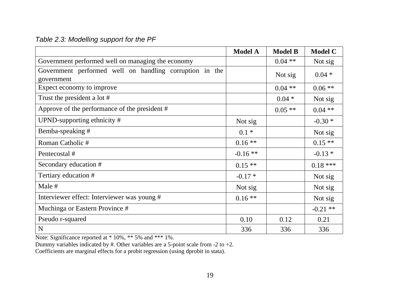#### *Table 2.3: Modelling support for the PF*

|                                                                       | <b>Model A</b> | <b>Model B</b> | <b>Model C</b> |
|-----------------------------------------------------------------------|----------------|----------------|----------------|
| Government performed well on managing the economy                     |                | $0.04$ **      | Not sig        |
| Government performed well on handling corruption in the<br>government |                | Not sig        | $0.04 *$       |
| Expect economy to improve                                             |                | $0.04$ **      | $0.06**$       |
| Trust the president a lot #                                           |                | $0.04 *$       | Not sig        |
| Approve of the performance of the president #                         |                | $0.05**$       | $0.04$ **      |
| UPND-supporting ethnicity #                                           | Not sig        |                | $-0.30*$       |
| Bemba-speaking #                                                      | $0.1 *$        |                | Not sig        |
| Roman Catholic #                                                      | $0.16**$       |                | $0.15**$       |
| Pentecostal #                                                         | $-0.16**$      |                | $-0.13*$       |
| Secondary education #                                                 | $0.15**$       |                | $0.18***$      |
| Tertiary education #                                                  | $-0.17*$       |                | Not sig        |
| Male #                                                                | Not sig        |                | Not sig        |
| Interviewer effect: Interviewer was young #                           | $0.16**$       |                | Not sig        |
| Muchinga or Eastern Province #                                        |                |                | $-0.21$ **     |
| Pseudo r-squared                                                      | 0.10           | 0.12           | 0.21           |
| N                                                                     | 336            | 336            | 336            |

Note: Significance reported at \* 10%, \*\* 5% and \*\*\* 1%.

Dummy variables indicated by  $#$ . Other variables are a 5-point scale from -2 to +2.

Coefficients are marginal effects for a probit regression (using dprobit in stata).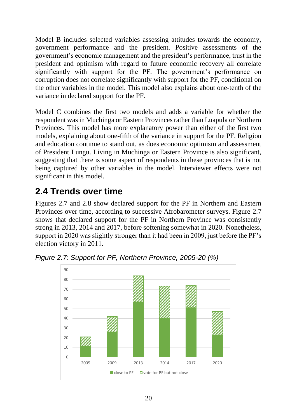Model B includes selected variables assessing attitudes towards the economy, government performance and the president. Positive assessments of the government's economic management and the president's performance, trust in the president and optimism with regard to future economic recovery all correlate significantly with support for the PF. The government's performance on corruption does not correlate significantly with support for the PF, conditional on the other variables in the model. This model also explains about one-tenth of the variance in declared support for the PF.

Model C combines the first two models and adds a variable for whether the respondent was in Muchinga or Eastern Provinces rather than Luapula or Northern Provinces. This model has more explanatory power than either of the first two models, explaining about one-fifth of the variance in support for the PF. Religion and education continue to stand out, as does economic optimism and assessment of President Lungu. Living in Muchinga or Eastern Province is also significant, suggesting that there is some aspect of respondents in these provinces that is not being captured by other variables in the model. Interviewer effects were not significant in this model.

## **2.4 Trends over time**

Figures 2.7 and 2.8 show declared support for the PF in Northern and Eastern Provinces over time, according to successive Afrobarometer surveys. Figure 2.7 shows that declared support for the PF in Northern Province was consistently strong in 2013, 2014 and 2017, before softening somewhat in 2020. Nonetheless, support in 2020 was slightly stronger than it had been in 2009, just before the PF's election victory in 2011.



*Figure 2.7: Support for PF, Northern Province, 2005-20 (%)*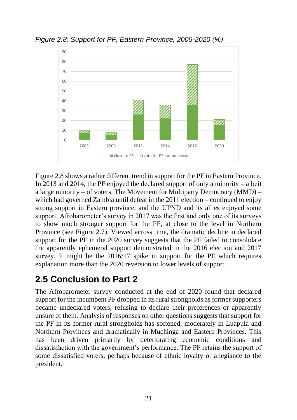

*Figure 2.8: Support for PF, Eastern Province, 2005-2020 (%)*

Figure 2.8 shows a rather different trend in support for the PF in Eastern Province. In 2013 and 2014, the PF enjoyed the declared support of only a minority – albeit a large minority – of voters. The Movement for Multiparty Democracy (MMD) – which had governed Zambia until defeat in the 2011 election – continued to enjoy strong support in Eastern province, and the UPND and its allies enjoyed some support. Afrobarometer's survey in 2017 was the first and only one of its surveys to show much stronger support for the PF, at close to the level in Northern Province (see Figure 2.7). Viewed across time, the dramatic decline in declared support for the PF in the 2020 survey suggests that the PF failed to consolidate the apparently ephemeral support demonstrated in the 2016 election and 2017 survey. It might be the 2016/17 spike in support for the PF which requires explanation more than the 2020 reversion to lower levels of support.

### **2.5 Conclusion to Part 2**

The Afrobarometer survey conducted at the end of 2020 found that declared support for the incumbent PF dropped in its rural strongholds as former supporters became undeclared voters, refusing to declare their preferences or apparently unsure of them. Analysis of responses on other questions suggests that support for the PF in its former rural strongholds has softened, moderately in Luapula and Northern Provinces and dramatically in Muchinga and Eastern Provinces. This has been driven primarily by deteriorating economic conditions and dissatisfaction with the government's performance. The PF retains the support of some dissatisfied voters, perhaps because of ethnic loyalty or allegiance to the president.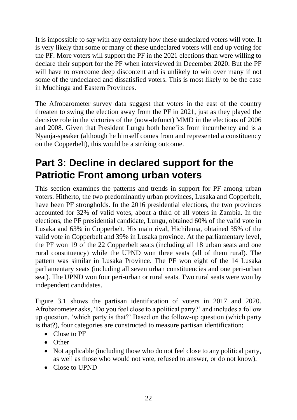It is impossible to say with any certainty how these undeclared voters will vote. It is very likely that some or many of these undeclared voters will end up voting for the PF. More voters will support the PF in the 2021 elections than were willing to declare their support for the PF when interviewed in December 2020. But the PF will have to overcome deep discontent and is unlikely to win over many if not some of the undeclared and dissatisfied voters. This is most likely to be the case in Muchinga and Eastern Provinces.

The Afrobarometer survey data suggest that voters in the east of the country threaten to swing the election away from the PF in 2021, just as they played the decisive role in the victories of the (now-defunct) MMD in the elections of 2006 and 2008. Given that President Lungu both benefits from incumbency and is a Nyanja-speaker (although he himself comes from and represented a constituency on the Copperbelt), this would be a striking outcome.

## **Part 3: Decline in declared support for the Patriotic Front among urban voters**

This section examines the patterns and trends in support for PF among urban voters. Hitherto, the two predominantly urban provinces, Lusaka and Copperbelt, have been PF strongholds. In the 2016 presidential elections, the two provinces accounted for 32% of valid votes, about a third of all voters in Zambia. In the elections, the PF presidential candidate, Lungu, obtained 60% of the valid vote in Lusaka and 63% in Copperbelt. His main rival, Hichilema, obtained 35% of the valid vote in Copperbelt and 39% in Lusaka province. At the parliamentary level, the PF won 19 of the 22 Copperbelt seats (including all 18 urban seats and one rural constituency) while the UPND won three seats (all of them rural). The pattern was similar in Lusaka Province. The PF won eight of the 14 Lusaka parliamentary seats (including all seven urban constituencies and one peri-urban seat). The UPND won four peri-urban or rural seats. Two rural seats were won by independent candidates.

Figure 3.1 shows the partisan identification of voters in 2017 and 2020. Afrobarometer asks, 'Do you feel close to a political party?' and includes a follow up question, 'which party is that?' Based on the follow-up question (which party is that?), four categories are constructed to measure partisan identification:

- Close to PF
- Other
- Not applicable (including those who do not feel close to any political party, as well as those who would not vote, refused to answer, or do not know).
- Close to UPND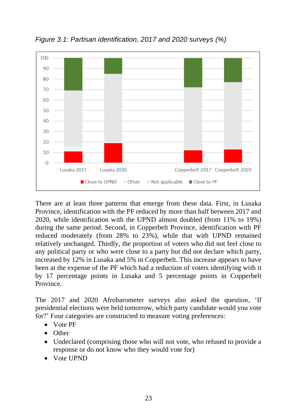

*Figure 3.1: Partisan identification, 2017 and 2020 surveys (%)*

There are at least three patterns that emerge from these data. First, in Lusaka Province, identification with the PF reduced by more than half between 2017 and 2020, while identification with the UPND almost doubled (from 11% to 19%) during the same period. Second, in Copperbelt Province, identification with PF reduced moderately (from 28% to 23%), while that with UPND remained relatively unchanged. Thirdly, the proportion of voters who did not feel close to any political party or who were close to a party but did not declare which party, increased by 12% in Lusaka and 5% in Copperbelt. This increase appears to have been at the expense of the PF which had a reduction of voters identifying with it by 17 percentage points in Lusaka and 5 percentage points in Copperbelt Province.

The 2017 and 2020 Afrobarometer surveys also asked the question, 'If presidential elections were held tomorrow, which party candidate would you vote for?' Four categories are constructed to measure voting preferences:

- Vote PF
- Other
- Undeclared (comprising those who will not vote, who refused to provide a response or do not know who they would vote for)
- Vote UPND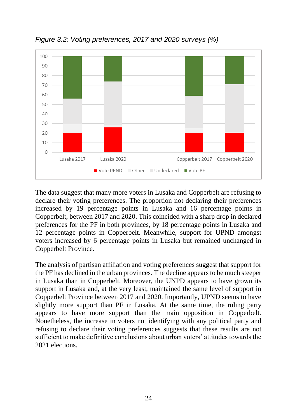

*Figure 3.2: Voting preferences, 2017 and 2020 surveys (%)*

The data suggest that many more voters in Lusaka and Copperbelt are refusing to declare their voting preferences. The proportion not declaring their preferences increased by 19 percentage points in Lusaka and 16 percentage points in Copperbelt, between 2017 and 2020. This coincided with a sharp drop in declared preferences for the PF in both provinces, by 18 percentage points in Lusaka and 12 percentage points in Copperbelt. Meanwhile, support for UPND amongst voters increased by 6 percentage points in Lusaka but remained unchanged in Copperbelt Province.

The analysis of partisan affiliation and voting preferences suggest that support for the PF has declined in the urban provinces. The decline appears to be much steeper in Lusaka than in Copperbelt. Moreover, the UNPD appears to have grown its support in Lusaka and, at the very least, maintained the same level of support in Copperbelt Province between 2017 and 2020. Importantly, UPND seems to have slightly more support than PF in Lusaka. At the same time, the ruling party appears to have more support than the main opposition in Copperbelt. Nonetheless, the increase in voters not identifying with any political party and refusing to declare their voting preferences suggests that these results are not sufficient to make definitive conclusions about urban voters' attitudes towards the 2021 elections.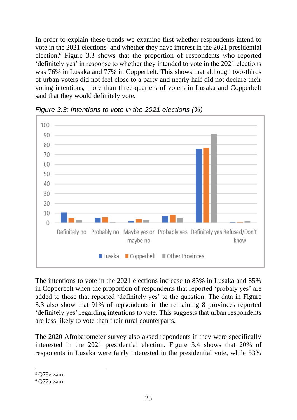In order to explain these trends we examine first whether respondents intend to vote in the  $2021$  elections<sup>5</sup> and whether they have interest in the  $2021$  presidential election.<sup>6</sup> Figure 3.3 shows that the proportion of respondents who reported 'definitely yes' in response to whether they intended to vote in the 2021 elections was 76% in Lusaka and 77% in Copperbelt. This shows that although two-thirds of urban voters did not feel close to a party and nearly half did not declare their voting intentions, more than three-quarters of voters in Lusaka and Copperbelt said that they would definitely vote.



*Figure 3.3: Intentions to vote in the 2021 elections (%)*

The intentions to vote in the 2021 elections increase to 83% in Lusaka and 85% in Copperbelt when the proportion of respondents that reported 'probaly yes' are added to those that reported 'definitely yes' to the question. The data in Figure 3.3 also show that 91% of repsondents in the remaining 8 provinces reported 'definitely yes' regarding intentions to vote. This suggests that urban respondents are less likely to vote than their rural counterparts.

The 2020 Afrobarometer survey also aksed repondents if they were specifically interested in the 2021 presidential election. Figure 3.4 shows that 20% of responents in Lusaka were fairly interested in the presidential vote, while 53%

 $5$  O78e-zam.

<sup>6</sup> Q77a-zam.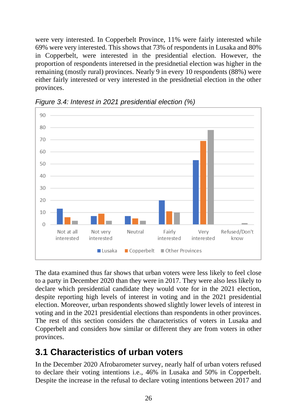were very interested. In Copperbelt Province, 11% were fairly interested while 69% were very interested. This shows that 73% of respondents in Lusaka and 80% in Copperbelt, were interested in the presidential election. However, the proportion of respondents interetsed in the presidnetial election was higher in the remaining (mostly rural) provinces. Nearly 9 in every 10 respondents (88%) were either fairly interested or very interested in the presidnetial election in the other provinces.



*Figure 3.4: Interest in 2021 presidential election (%)*

The data examined thus far shows that urban voters were less likely to feel close to a party in December 2020 than they were in 2017. They were also less likely to declare which presidential candidate they would vote for in the 2021 election, despite reporting high levels of interest in voting and in the 2021 presidential election. Moreover, urban respondents showed slightly lower levels of interest in voting and in the 2021 presidential elections than respondents in other provinces. The rest of this section considers the characteristics of voters in Lusaka and Copperbelt and considers how similar or different they are from voters in other provinces.

### **3.1 Characteristics of urban voters**

In the December 2020 Afrobarometer survey, nearly half of urban voters refused to declare their voting intentions i.e., 46% in Lusaka and 50% in Copperbelt. Despite the increase in the refusal to declare voting intentions between 2017 and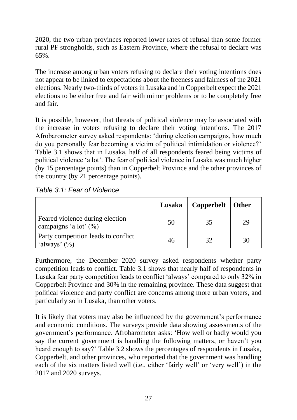2020, the two urban provinces reported lower rates of refusal than some former rural PF strongholds, such as Eastern Province, where the refusal to declare was 65%.

The increase among urban voters refusing to declare their voting intentions does not appear to be linked to expectations about the freeness and fairness of the 2021 elections. Nearly two-thirds of voters in Lusaka and in Copperbelt expect the 2021 elections to be either free and fair with minor problems or to be completely free and fair.

It is possible, however, that threats of political violence may be associated with the increase in voters refusing to declare their voting intentions. The 2017 Afrobarometer survey asked respondents: 'during election campaigns, how much do you personally fear becoming a victim of political intimidation or violence?' Table 3.1 shows that in Lusaka, half of all respondents feared being victims of political violence 'a lot'. The fear of political violence in Lusaka was much higher (by 15 percentage points) than in Copperbelt Province and the other provinces of the country (by 21 percentage points).

|  |  |  | Table 3.1: Fear of Violence |
|--|--|--|-----------------------------|
|--|--|--|-----------------------------|

|                                                             | Lusaka | Copperbelt   Other |    |
|-------------------------------------------------------------|--------|--------------------|----|
| Feared violence during election<br>campaigns 'a lot' $(\%)$ | 50     | 35                 | 29 |
| Party competition leads to conflict<br>'always' $(\%)$      | 46     |                    | 30 |

Furthermore, the December 2020 survey asked respondents whether party competition leads to conflict. Table 3.1 shows that nearly half of respondents in Lusaka fear party competition leads to conflict 'always' compared to only 32% in Copperbelt Province and 30% in the remaining province. These data suggest that political violence and party conflict are concerns among more urban voters, and particularly so in Lusaka, than other voters.

It is likely that voters may also be influenced by the government's performance and economic conditions. The surveys provide data showing assessments of the government's performance. Afrobarometer asks: 'How well or badly would you say the current government is handling the following matters, or haven't you heard enough to say?' Table 3.2 shows the percentages of respondents in Lusaka, Copperbelt, and other provinces, who reported that the government was handling each of the six matters listed well (i.e., either 'fairly well' or 'very well') in the 2017 and 2020 surveys.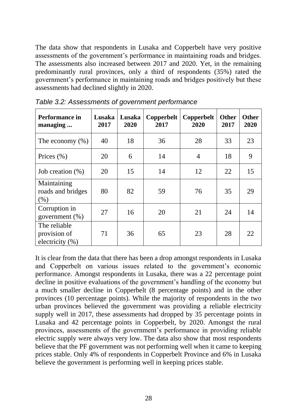The data show that respondents in Lusaka and Copperbelt have very positive assessments of the government's performance in maintaining roads and bridges. The assessments also increased between 2017 and 2020. Yet, in the remaining predominantly rural provinces, only a third of respondents (35%) rated the government's performance in maintaining roads and bridges positively but these assessments had declined slightly in 2020.

| Performance in<br>managing                      | Lusaka<br>2017 | Lusaka<br>2020 | Copperbelt<br>2017 | Copperbelt<br>2020 | <b>Other</b><br>2017 | <b>Other</b><br>2020 |
|-------------------------------------------------|----------------|----------------|--------------------|--------------------|----------------------|----------------------|
| The economy $(\%)$                              | 40             | 18             | 36                 | 28                 | 33                   | 23                   |
| Prices $(\% )$                                  | 20             | 6              | 14                 | $\overline{4}$     | 18                   | 9                    |
| Job creation $(\%)$                             | 20             | 15             | 14                 | 12                 | 22                   | 15                   |
| Maintaining<br>roads and bridges<br>(% )        | 80             | 82             | 59                 | 76                 | 35                   | 29                   |
| Corruption in<br>government $(\%)$              | 27             | 16             | 20                 | 21                 | 24                   | 14                   |
| The reliable<br>provision of<br>electricity (%) | 71             | 36             | 65                 | 23                 | 28                   | 22                   |

*Table 3.2: Assessments of government performance*

It is clear from the data that there has been a drop amongst respondents in Lusaka and Copperbelt on various issues related to the government's economic performance. Amongst respondents in Lusaka, there was a 22 percentage point decline in positive evaluations of the government's handling of the economy but a much smaller decline in Copperbelt (8 percentage points) and in the other provinces (10 percentage points). While the majority of respondents in the two urban provinces believed the government was providing a reliable electricity supply well in 2017, these assessments had dropped by 35 percentage points in Lusaka and 42 percentage points in Copperbelt, by 2020. Amongst the rural provinces, assessments of the government's performance in providing reliable electric supply were always very low. The data also show that most respondents believe that the PF government was not performing well when it came to keeping prices stable. Only 4% of respondents in Copperbelt Province and 6% in Lusaka believe the government is performing well in keeping prices stable.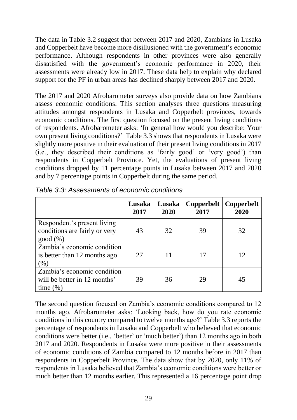The data in Table 3.2 suggest that between 2017 and 2020, Zambians in Lusaka and Copperbelt have become more disillusioned with the government's economic performance. Although respondents in other provinces were also generally dissatisfied with the government's economic performance in 2020, their assessments were already low in 2017. These data help to explain why declared support for the PF in urban areas has declined sharply between 2017 and 2020.

The 2017 and 2020 Afrobarometer surveys also provide data on how Zambians assess economic conditions. This section analyses three questions measuring attitudes amongst respondents in Lusaka and Copperbelt provinces, towards economic conditions. The first question focused on the present living conditions of respondents. Afrobarometer asks: 'In general how would you describe: Your own present living conditions?' Table 3.3 shows that respondents in Lusaka were slightly more positive in their evaluation of their present living conditions in 2017 (i.e., they described their conditions as 'fairly good' or 'very good') than respondents in Copperbelt Province. Yet, the evaluations of present living conditions dropped by 11 percentage points in Lusaka between 2017 and 2020 and by 7 percentage points in Copperbelt during the same period.

|                                                                             | Lusaka<br>2017 | Lusaka<br>2020 | Copperbelt<br>2017 | Copperbelt<br>2020 |
|-----------------------------------------------------------------------------|----------------|----------------|--------------------|--------------------|
| Respondent's present living<br>conditions are fairly or very<br>good (%)    | 43             | 32             | 39                 | 32                 |
| Zambia's economic condition<br>is better than 12 months ago<br>(%)          | 27             | 11             |                    | 12                 |
| Zambia's economic condition<br>will be better in 12 months'<br>time $(\% )$ | 39             | 36             | 29                 | 45                 |

*Table 3.3: Assessments of economic conditions*

The second question focused on Zambia's economic conditions compared to 12 months ago. Afrobarometer asks: 'Looking back, how do you rate economic conditions in this country compared to twelve months ago?' Table 3.3 reports the percentage of respondents in Lusaka and Copperbelt who believed that economic conditions were better (i.e., 'better' or 'much better') than 12 months ago in both 2017 and 2020. Respondents in Lusaka were more positive in their assessments of economic conditions of Zambia compared to 12 months before in 2017 than respondents in Copperbelt Province. The data show that by 2020, only 11% of respondents in Lusaka believed that Zambia's economic conditions were better or much better than 12 months earlier. This represented a 16 percentage point drop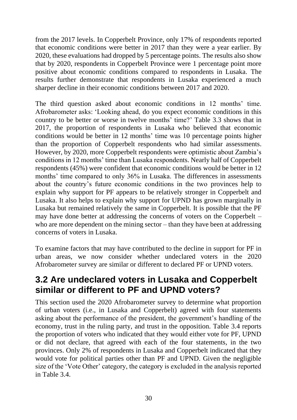from the 2017 levels. In Copperbelt Province, only 17% of respondents reported that economic conditions were better in 2017 than they were a year earlier. By 2020, these evaluations had dropped by 5 percentage points. The results also show that by 2020, respondents in Copperbelt Province were 1 percentage point more positive about economic conditions compared to respondents in Lusaka. The results further demonstrate that respondents in Lusaka experienced a much sharper decline in their economic conditions between 2017 and 2020.

The third question asked about economic conditions in 12 months' time. Afrobarometer asks: 'Looking ahead, do you expect economic conditions in this country to be better or worse in twelve months' time?' Table 3.3 shows that in 2017, the proportion of respondents in Lusaka who believed that economic conditions would be better in 12 months' time was 10 percentage points higher than the proportion of Copperbelt respondents who had similar assessments. However, by 2020, more Copperbelt respondents were optimistic about Zambia's conditions in 12 months' time than Lusaka respondents. Nearly half of Copperbelt respondents (45%) were confident that economic conditions would be better in 12 months' time compared to only 36% in Lusaka. The differences in assessments about the country's future economic conditions in the two provinces help to explain why support for PF appears to be relatively stronger in Copperbelt and Lusaka. It also helps to explain why support for UPND has grown marginally in Lusaka but remained relatively the same in Copperbelt. It is possible that the PF may have done better at addressing the concerns of voters on the Copperbelt – who are more dependent on the mining sector – than they have been at addressing concerns of voters in Lusaka.

To examine factors that may have contributed to the decline in support for PF in urban areas, we now consider whether undeclared voters in the 2020 Afrobarometer survey are similar or different to declared PF or UPND voters.

#### **3.2 Are undeclared voters in Lusaka and Copperbelt similar or different to PF and UPND voters?**

This section used the 2020 Afrobarometer survey to determine what proportion of urban voters (i.e., in Lusaka and Copperbelt) agreed with four statements asking about the performance of the president, the government's handling of the economy, trust in the ruling party, and trust in the opposition. Table 3.4 reports the proportion of voters who indicated that they would either vote for PF, UPND or did not declare, that agreed with each of the four statements, in the two provinces. Only 2% of respondents in Lusaka and Copperbelt indicated that they would vote for political parties other than PF and UPND. Given the negligible size of the 'Vote Other' category, the category is excluded in the analysis reported in Table 3.4.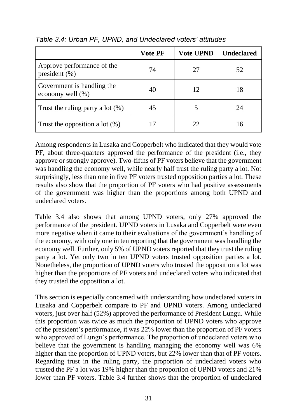|                                                 | <b>Vote PF</b> | <b>Vote UPND</b> | <b>Undeclared</b> |
|-------------------------------------------------|----------------|------------------|-------------------|
| Approve performance of the<br>president $(\% )$ | 74             | 27               | 52                |
| Government is handling the<br>economy well (%)  | 40             | 12               |                   |
| Trust the ruling party a lot $(\%)$             | 45             |                  | 24                |
| Trust the opposition a lot $(\%)$               |                | 22               |                   |

*Table 3.4: Urban PF, UPND, and Undeclared voters' attitudes* 

Among respondents in Lusaka and Copperbelt who indicated that they would vote PF, about three-quarters approved the performance of the president (i.e., they approve or strongly approve). Two-fifths of PF voters believe that the government was handling the economy well, while nearly half trust the ruling party a lot. Not surprisingly, less than one in five PF voters trusted opposition parties a lot. These results also show that the proportion of PF voters who had positive assessments of the government was higher than the proportions among both UPND and undeclared voters.

Table 3.4 also shows that among UPND voters, only 27% approved the performance of the president. UPND voters in Lusaka and Copperbelt were even more negative when it came to their evaluations of the government's handling of the economy, with only one in ten reporting that the government was handling the economy well. Further, only 5% of UPND voters reported that they trust the ruling party a lot. Yet only two in ten UPND voters trusted opposition parties a lot. Nonetheless, the proportion of UPND voters who trusted the opposition a lot was higher than the proportions of PF voters and undeclared voters who indicated that they trusted the opposition a lot.

This section is especially concerned with understanding how undeclared voters in Lusaka and Copperbelt compare to PF and UPND voters. Among undeclared voters, just over half (52%) approved the performance of President Lungu. While this proportion was twice as much the proportion of UPND voters who approve of the president's performance, it was 22% lower than the proportion of PF voters who approved of Lungu's performance. The proportion of undeclared voters who believe that the government is handling managing the economy well was 6% higher than the proportion of UPND voters, but 22% lower than that of PF voters. Regarding trust in the ruling party, the proportion of undeclared voters who trusted the PF a lot was 19% higher than the proportion of UPND voters and 21% lower than PF voters. Table 3.4 further shows that the proportion of undeclared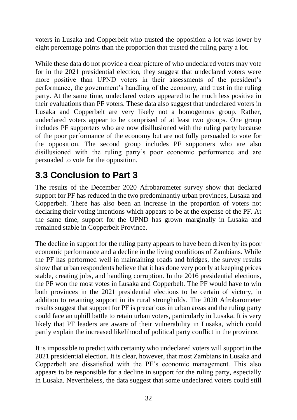voters in Lusaka and Copperbelt who trusted the opposition a lot was lower by eight percentage points than the proportion that trusted the ruling party a lot.

While these data do not provide a clear picture of who undeclared voters may vote for in the 2021 presidential election, they suggest that undeclared voters were more positive than UPND voters in their assessments of the president's performance, the government's handling of the economy, and trust in the ruling party. At the same time, undeclared voters appeared to be much less positive in their evaluations than PF voters. These data also suggest that undeclared voters in Lusaka and Copperbelt are very likely not a homogenous group. Rather, undeclared voters appear to be comprised of at least two groups. One group includes PF supporters who are now disillusioned with the ruling party because of the poor performance of the economy but are not fully persuaded to vote for the opposition. The second group includes PF supporters who are also disillusioned with the ruling party's poor economic performance and are persuaded to vote for the opposition.

### **3.3 Conclusion to Part 3**

The results of the December 2020 Afrobarometer survey show that declared support for PF has reduced in the two predominantly urban provinces, Lusaka and Copperbelt. There has also been an increase in the proportion of voters not declaring their voting intentions which appears to be at the expense of the PF. At the same time, support for the UPND has grown marginally in Lusaka and remained stable in Copperbelt Province.

The decline in support for the ruling party appears to have been driven by its poor economic performance and a decline in the living conditions of Zambians. While the PF has performed well in maintaining roads and bridges, the survey results show that urban respondents believe that it has done very poorly at keeping prices stable, creating jobs, and handling corruption. In the 2016 presidential elections, the PF won the most votes in Lusaka and Copperbelt. The PF would have to win both provinces in the 2021 presidential elections to be certain of victory, in addition to retaining support in its rural strongholds. The 2020 Afrobarometer results suggest that support for PF is precarious in urban areas and the ruling party could face an uphill battle to retain urban voters, particularly in Lusaka. It is very likely that PF leaders are aware of their vulnerability in Lusaka, which could partly explain the increased likelihood of political party conflict in the province.

It is impossible to predict with certainty who undeclared voters will support in the 2021 presidential election. It is clear, however, that most Zambians in Lusaka and Copperbelt are dissatisfied with the PF's economic management. This also appears to be responsible for a decline in support for the ruling party, especially in Lusaka. Nevertheless, the data suggest that some undeclared voters could still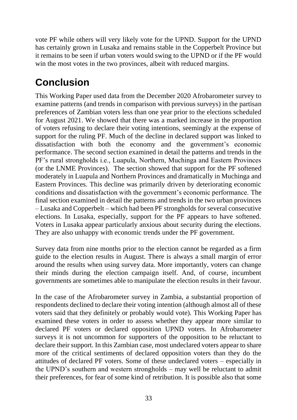vote PF while others will very likely vote for the UPND. Support for the UPND has certainly grown in Lusaka and remains stable in the Copperbelt Province but it remains to be seen if urban voters would swing to the UPND or if the PF would win the most votes in the two provinces, albeit with reduced margins.

## **Conclusion**

This Working Paper used data from the December 2020 Afrobarometer survey to examine patterns (and trends in comparison with previous surveys) in the partisan preferences of Zambian voters less than one year prior to the elections scheduled for August 2021. We showed that there was a marked increase in the proportion of voters refusing to declare their voting intentions, seemingly at the expense of support for the ruling PF. Much of the decline in declared support was linked to dissatisfaction with both the economy and the government's economic performance. The second section examined in detail the patterns and trends in the PF's rural strongholds i.e., Luapula, Northern, Muchinga and Eastern Provinces (or the LNME Provinces). The section showed that support for the PF softened moderately in Luapula and Northern Provinces and dramatically in Muchinga and Eastern Provinces. This decline was primarily driven by deteriorating economic conditions and dissatisfaction with the government's economic performance. The final section examined in detail the patterns and trends in the two urban provinces – Lusaka and Copperbelt – which had been PF strongholds for several consecutive elections. In Lusaka, especially, support for the PF appears to have softened. Voters in Lusaka appear particularly anxious about security during the elections. They are also unhappy with economic trends under the PF government.

Survey data from nine months prior to the election cannot be regarded as a firm guide to the election results in August. There is always a small margin of error around the results when using survey data. More importantly, voters can change their minds during the election campaign itself. And, of course, incumbent governments are sometimes able to manipulate the election results in their favour.

In the case of the Afrobarometer survey in Zambia, a substantial proportion of respondents declined to declare their voting intention (although almost all of these voters said that they definitely or probably would vote). This Working Paper has examined these voters in order to assess whether they appear more similar to declared PF voters or declared opposition UPND voters. In Afrobarometer surveys it is not uncommon for supporters of the opposition to be reluctant to declare their support. In this Zambian case, most undeclared voters appear to share more of the critical sentiments of declared opposition voters than they do the attitudes of declared PF voters. Some of these undeclared voters – especially in the UPND's southern and western strongholds – may well be reluctant to admit their preferences, for fear of some kind of retribution. It is possible also that some